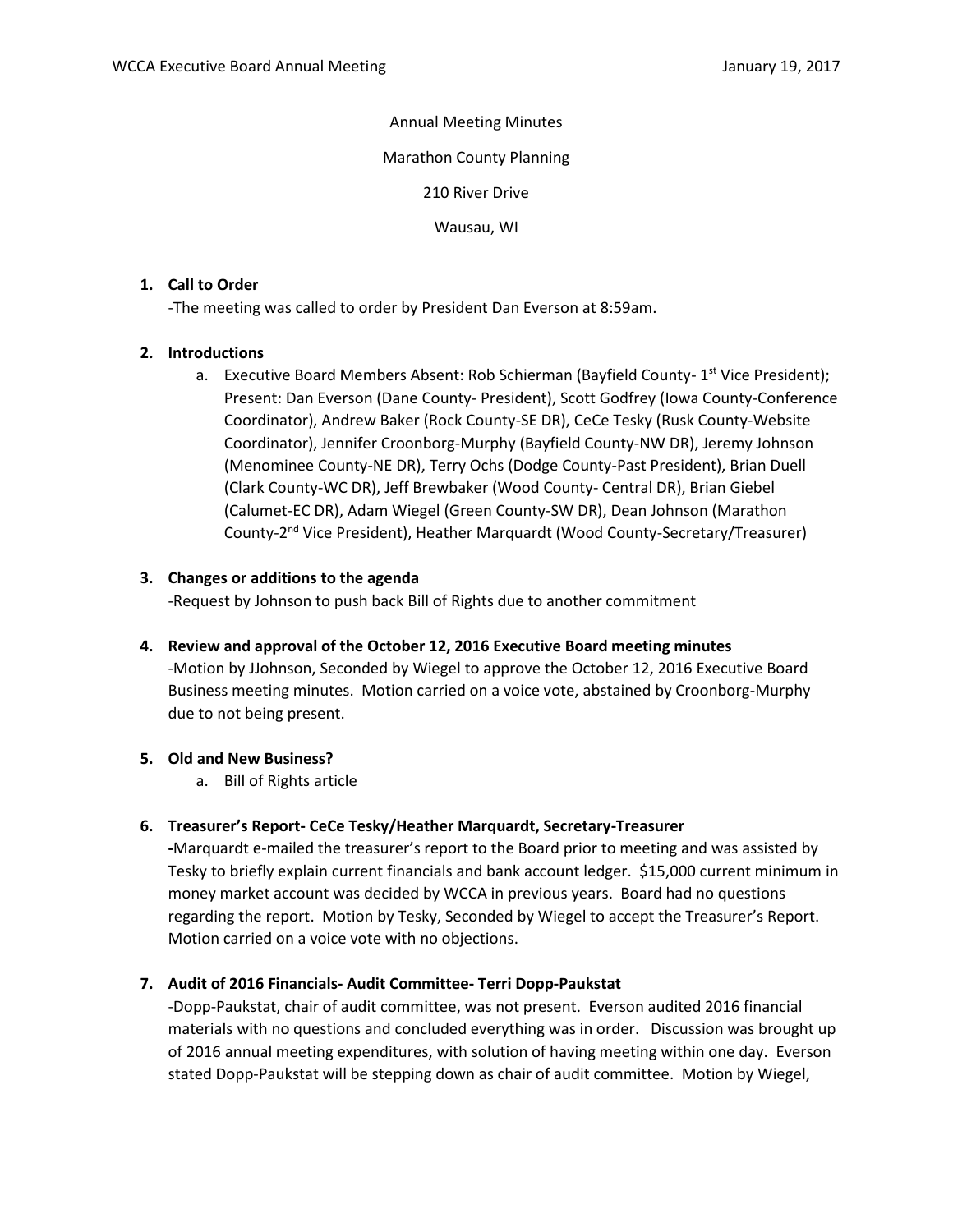### Annual Meeting Minutes

Marathon County Planning

210 River Drive

Wausau, WI

## **1. Call to Order**

-The meeting was called to order by President Dan Everson at 8:59am.

# **2. Introductions**

a. Executive Board Members Absent: Rob Schierman (Bayfield County- 1<sup>st</sup> Vice President); Present: Dan Everson (Dane County- President), Scott Godfrey (Iowa County-Conference Coordinator), Andrew Baker (Rock County-SE DR), CeCe Tesky (Rusk County-Website Coordinator), Jennifer Croonborg-Murphy (Bayfield County-NW DR), Jeremy Johnson (Menominee County-NE DR), Terry Ochs (Dodge County-Past President), Brian Duell (Clark County-WC DR), Jeff Brewbaker (Wood County- Central DR), Brian Giebel (Calumet-EC DR), Adam Wiegel (Green County-SW DR), Dean Johnson (Marathon County-2<sup>nd</sup> Vice President), Heather Marquardt (Wood County-Secretary/Treasurer)

# **3. Changes or additions to the agenda**

-Request by Johnson to push back Bill of Rights due to another commitment

**4. Review and approval of the October 12, 2016 Executive Board meeting minutes**

-Motion by JJohnson, Seconded by Wiegel to approve the October 12, 2016 Executive Board Business meeting minutes. Motion carried on a voice vote, abstained by Croonborg-Murphy due to not being present.

## **5. Old and New Business?**

a. Bill of Rights article

## **6. Treasurer's Report- CeCe Tesky/Heather Marquardt, Secretary-Treasurer**

**-**Marquardt e-mailed the treasurer's report to the Board prior to meeting and was assisted by Tesky to briefly explain current financials and bank account ledger. \$15,000 current minimum in money market account was decided by WCCA in previous years. Board had no questions regarding the report. Motion by Tesky, Seconded by Wiegel to accept the Treasurer's Report. Motion carried on a voice vote with no objections.

## **7. Audit of 2016 Financials- Audit Committee- Terri Dopp-Paukstat**

-Dopp-Paukstat, chair of audit committee, was not present. Everson audited 2016 financial materials with no questions and concluded everything was in order. Discussion was brought up of 2016 annual meeting expenditures, with solution of having meeting within one day. Everson stated Dopp-Paukstat will be stepping down as chair of audit committee. Motion by Wiegel,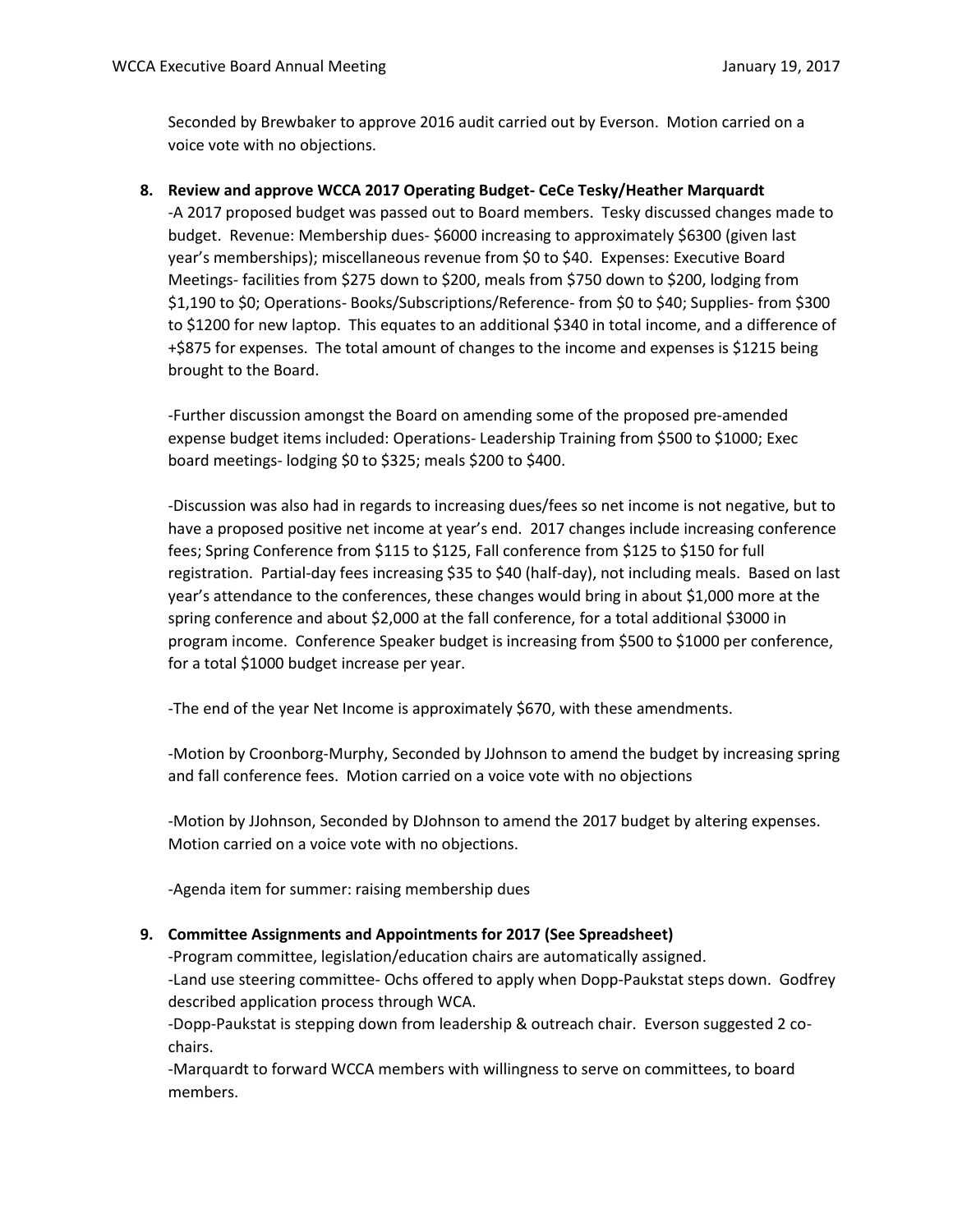Seconded by Brewbaker to approve 2016 audit carried out by Everson. Motion carried on a voice vote with no objections.

### **8. Review and approve WCCA 2017 Operating Budget- CeCe Tesky/Heather Marquardt**

-A 2017 proposed budget was passed out to Board members. Tesky discussed changes made to budget. Revenue: Membership dues- \$6000 increasing to approximately \$6300 (given last year's memberships); miscellaneous revenue from \$0 to \$40. Expenses: Executive Board Meetings- facilities from \$275 down to \$200, meals from \$750 down to \$200, lodging from \$1,190 to \$0; Operations- Books/Subscriptions/Reference- from \$0 to \$40; Supplies- from \$300 to \$1200 for new laptop. This equates to an additional \$340 in total income, and a difference of +\$875 for expenses. The total amount of changes to the income and expenses is \$1215 being brought to the Board.

-Further discussion amongst the Board on amending some of the proposed pre-amended expense budget items included: Operations- Leadership Training from \$500 to \$1000; Exec board meetings- lodging \$0 to \$325; meals \$200 to \$400.

-Discussion was also had in regards to increasing dues/fees so net income is not negative, but to have a proposed positive net income at year's end. 2017 changes include increasing conference fees; Spring Conference from \$115 to \$125, Fall conference from \$125 to \$150 for full registration. Partial-day fees increasing \$35 to \$40 (half-day), not including meals. Based on last year's attendance to the conferences, these changes would bring in about \$1,000 more at the spring conference and about \$2,000 at the fall conference, for a total additional \$3000 in program income. Conference Speaker budget is increasing from \$500 to \$1000 per conference, for a total \$1000 budget increase per year.

-The end of the year Net Income is approximately \$670, with these amendments.

-Motion by Croonborg-Murphy, Seconded by JJohnson to amend the budget by increasing spring and fall conference fees. Motion carried on a voice vote with no objections

-Motion by JJohnson, Seconded by DJohnson to amend the 2017 budget by altering expenses. Motion carried on a voice vote with no objections.

-Agenda item for summer: raising membership dues

#### **9. Committee Assignments and Appointments for 2017 (See Spreadsheet)**

-Program committee, legislation/education chairs are automatically assigned.

-Land use steering committee- Ochs offered to apply when Dopp-Paukstat steps down. Godfrey described application process through WCA.

-Dopp-Paukstat is stepping down from leadership & outreach chair. Everson suggested 2 cochairs.

-Marquardt to forward WCCA members with willingness to serve on committees, to board members.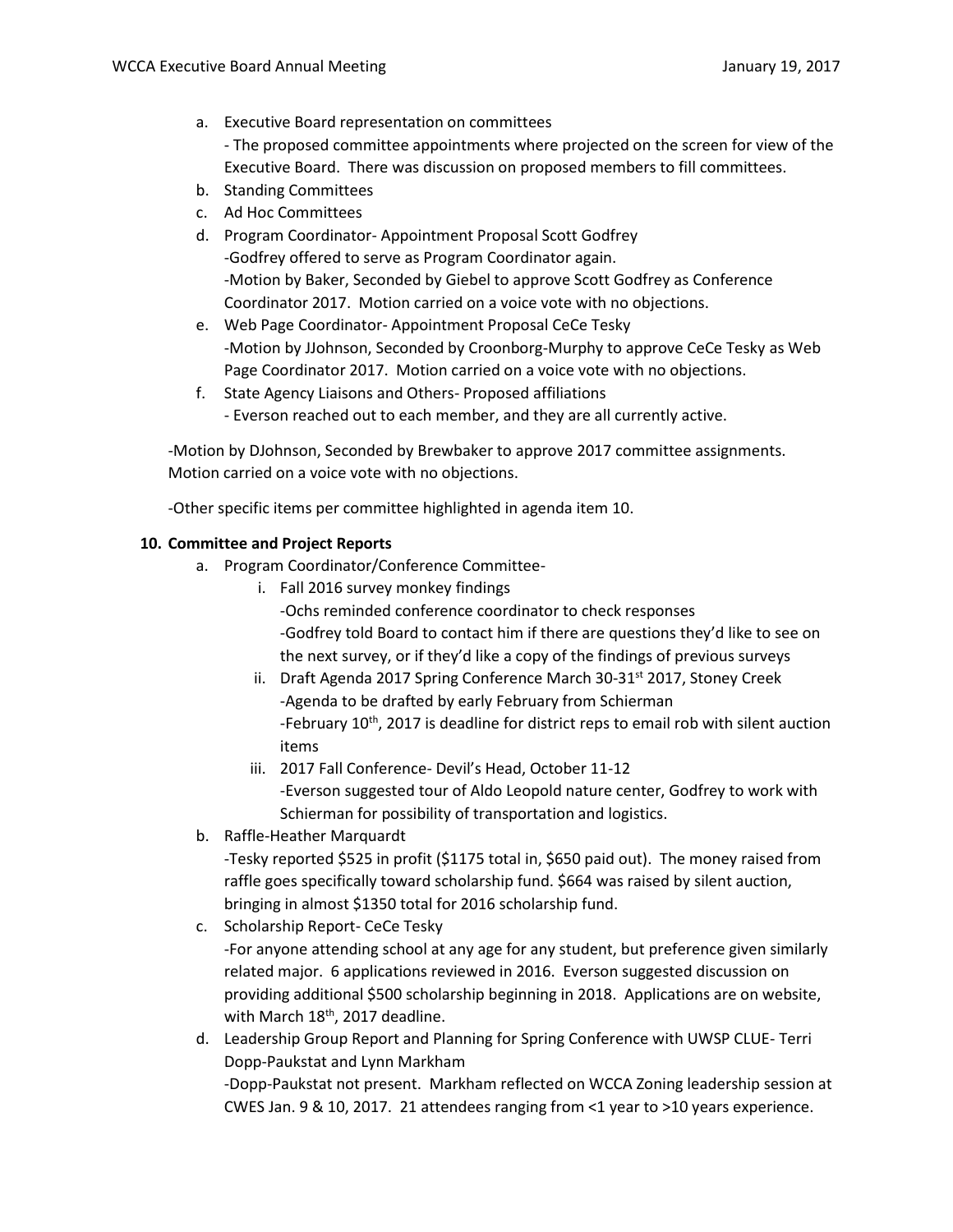a. Executive Board representation on committees

- The proposed committee appointments where projected on the screen for view of the Executive Board. There was discussion on proposed members to fill committees.

- b. Standing Committees
- c. Ad Hoc Committees
- d. Program Coordinator- Appointment Proposal Scott Godfrey -Godfrey offered to serve as Program Coordinator again. -Motion by Baker, Seconded by Giebel to approve Scott Godfrey as Conference Coordinator 2017. Motion carried on a voice vote with no objections.
- e. Web Page Coordinator- Appointment Proposal CeCe Tesky -Motion by JJohnson, Seconded by Croonborg-Murphy to approve CeCe Tesky as Web Page Coordinator 2017. Motion carried on a voice vote with no objections.
- f. State Agency Liaisons and Others- Proposed affiliations - Everson reached out to each member, and they are all currently active.

-Motion by DJohnson, Seconded by Brewbaker to approve 2017 committee assignments. Motion carried on a voice vote with no objections.

-Other specific items per committee highlighted in agenda item 10.

# **10. Committee and Project Reports**

- a. Program Coordinator/Conference Committee
	- i. Fall 2016 survey monkey findings

-Ochs reminded conference coordinator to check responses -Godfrey told Board to contact him if there are questions they'd like to see on the next survey, or if they'd like a copy of the findings of previous surveys

- ii. Draft Agenda 2017 Spring Conference March 30-31<sup>st</sup> 2017, Stoney Creek -Agenda to be drafted by early February from Schierman -February 10<sup>th</sup>, 2017 is deadline for district reps to email rob with silent auction items
- iii. 2017 Fall Conference- Devil's Head, October 11-12 -Everson suggested tour of Aldo Leopold nature center, Godfrey to work with Schierman for possibility of transportation and logistics.
- b. Raffle-Heather Marquardt

-Tesky reported \$525 in profit (\$1175 total in, \$650 paid out). The money raised from raffle goes specifically toward scholarship fund. \$664 was raised by silent auction, bringing in almost \$1350 total for 2016 scholarship fund.

c. Scholarship Report- CeCe Tesky

-For anyone attending school at any age for any student, but preference given similarly related major. 6 applications reviewed in 2016. Everson suggested discussion on providing additional \$500 scholarship beginning in 2018. Applications are on website, with March 18<sup>th</sup>, 2017 deadline.

d. Leadership Group Report and Planning for Spring Conference with UWSP CLUE- Terri Dopp-Paukstat and Lynn Markham -Dopp-Paukstat not present. Markham reflected on WCCA Zoning leadership session at CWES Jan. 9 & 10, 2017. 21 attendees ranging from <1 year to >10 years experience.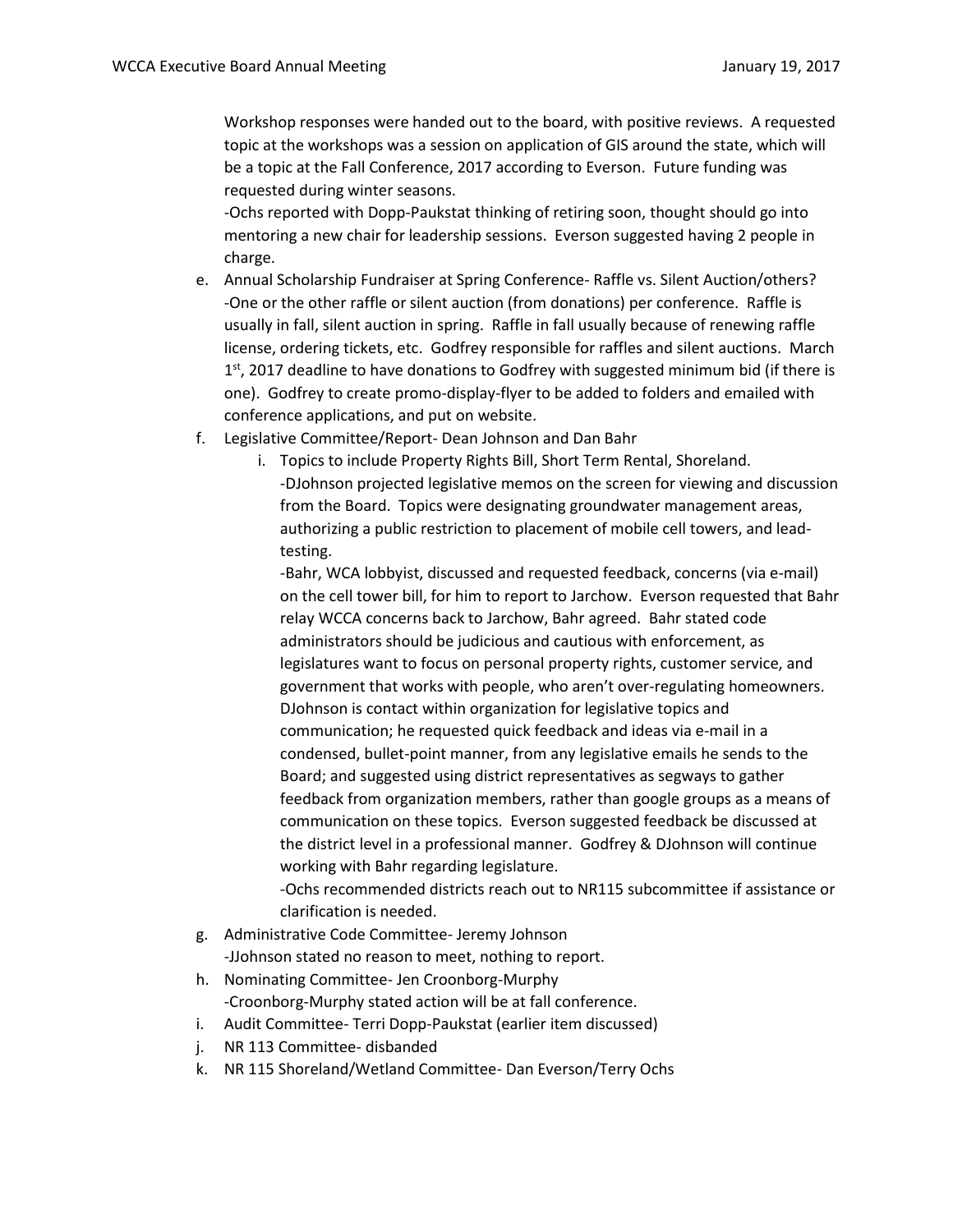Workshop responses were handed out to the board, with positive reviews. A requested topic at the workshops was a session on application of GIS around the state, which will be a topic at the Fall Conference, 2017 according to Everson. Future funding was requested during winter seasons.

-Ochs reported with Dopp-Paukstat thinking of retiring soon, thought should go into mentoring a new chair for leadership sessions. Everson suggested having 2 people in charge.

- e. Annual Scholarship Fundraiser at Spring Conference- Raffle vs. Silent Auction/others? -One or the other raffle or silent auction (from donations) per conference. Raffle is usually in fall, silent auction in spring. Raffle in fall usually because of renewing raffle license, ordering tickets, etc. Godfrey responsible for raffles and silent auctions. March 1<sup>st</sup>, 2017 deadline to have donations to Godfrey with suggested minimum bid (if there is one). Godfrey to create promo-display-flyer to be added to folders and emailed with conference applications, and put on website.
- f. Legislative Committee/Report- Dean Johnson and Dan Bahr
	- i. Topics to include Property Rights Bill, Short Term Rental, Shoreland. -DJohnson projected legislative memos on the screen for viewing and discussion from the Board. Topics were designating groundwater management areas, authorizing a public restriction to placement of mobile cell towers, and leadtesting.

-Bahr, WCA lobbyist, discussed and requested feedback, concerns (via e-mail) on the cell tower bill, for him to report to Jarchow. Everson requested that Bahr relay WCCA concerns back to Jarchow, Bahr agreed. Bahr stated code administrators should be judicious and cautious with enforcement, as legislatures want to focus on personal property rights, customer service, and government that works with people, who aren't over-regulating homeowners. DJohnson is contact within organization for legislative topics and communication; he requested quick feedback and ideas via e-mail in a condensed, bullet-point manner, from any legislative emails he sends to the Board; and suggested using district representatives as segways to gather feedback from organization members, rather than google groups as a means of communication on these topics. Everson suggested feedback be discussed at the district level in a professional manner. Godfrey & DJohnson will continue working with Bahr regarding legislature.

-Ochs recommended districts reach out to NR115 subcommittee if assistance or clarification is needed.

- g. Administrative Code Committee- Jeremy Johnson -JJohnson stated no reason to meet, nothing to report.
- h. Nominating Committee- Jen Croonborg-Murphy -Croonborg-Murphy stated action will be at fall conference.
- i. Audit Committee- Terri Dopp-Paukstat (earlier item discussed)
- j. NR 113 Committee- disbanded
- k. NR 115 Shoreland/Wetland Committee- Dan Everson/Terry Ochs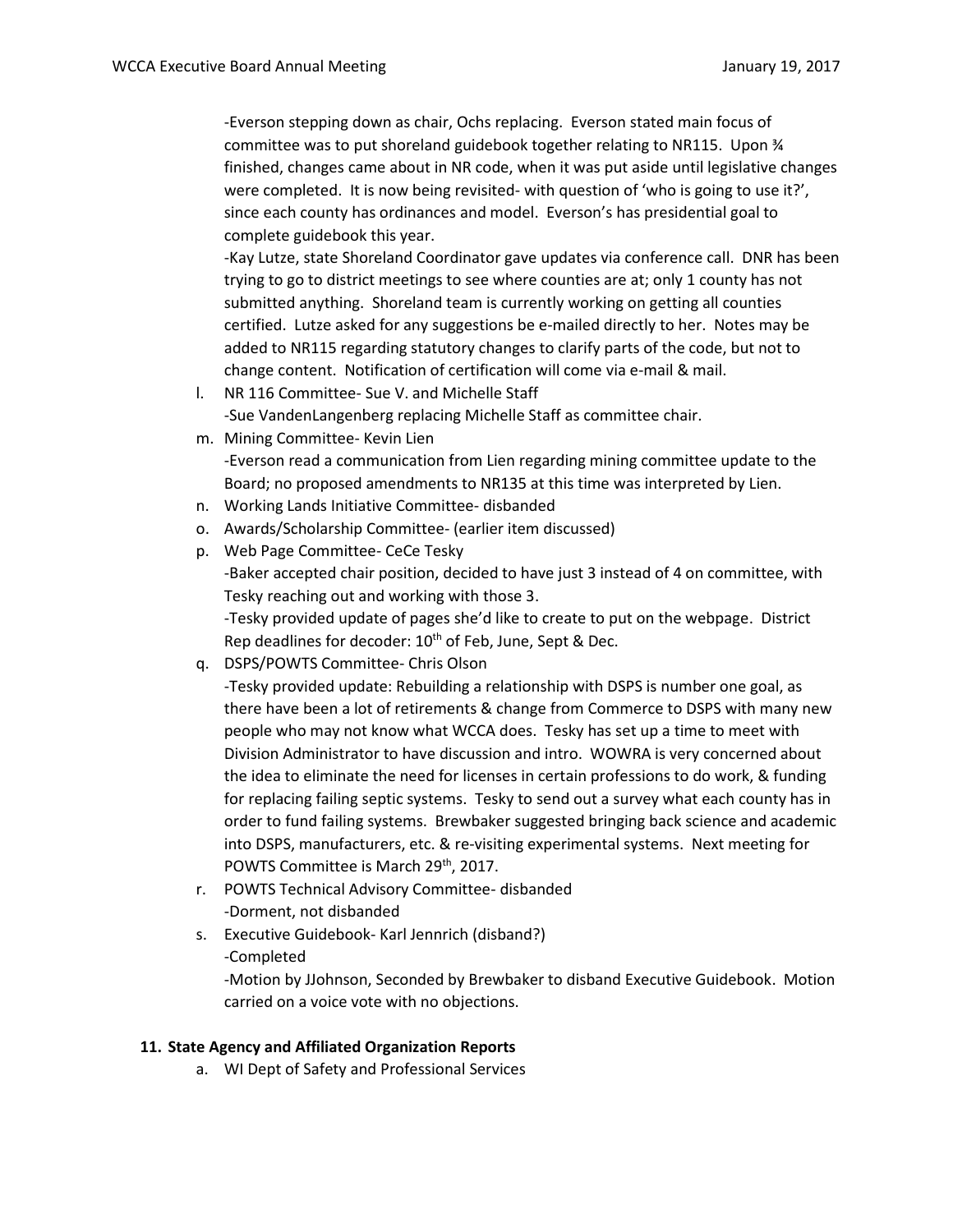-Everson stepping down as chair, Ochs replacing. Everson stated main focus of committee was to put shoreland guidebook together relating to NR115. Upon ¾ finished, changes came about in NR code, when it was put aside until legislative changes were completed. It is now being revisited- with question of 'who is going to use it?', since each county has ordinances and model. Everson's has presidential goal to complete guidebook this year.

-Kay Lutze, state Shoreland Coordinator gave updates via conference call. DNR has been trying to go to district meetings to see where counties are at; only 1 county has not submitted anything. Shoreland team is currently working on getting all counties certified. Lutze asked for any suggestions be e-mailed directly to her. Notes may be added to NR115 regarding statutory changes to clarify parts of the code, but not to change content. Notification of certification will come via e-mail & mail.

- l. NR 116 Committee- Sue V. and Michelle Staff -Sue VandenLangenberg replacing Michelle Staff as committee chair.
- m. Mining Committee- Kevin Lien

-Everson read a communication from Lien regarding mining committee update to the Board; no proposed amendments to NR135 at this time was interpreted by Lien.

- n. Working Lands Initiative Committee- disbanded
- o. Awards/Scholarship Committee- (earlier item discussed)
- p. Web Page Committee- CeCe Tesky -Baker accepted chair position, decided to have just 3 instead of 4 on committee, with Tesky reaching out and working with those 3. -Tesky provided update of pages she'd like to create to put on the webpage. District Rep deadlines for decoder: 10<sup>th</sup> of Feb, June, Sept & Dec.
- q. DSPS/POWTS Committee- Chris Olson

-Tesky provided update: Rebuilding a relationship with DSPS is number one goal, as there have been a lot of retirements & change from Commerce to DSPS with many new people who may not know what WCCA does. Tesky has set up a time to meet with Division Administrator to have discussion and intro. WOWRA is very concerned about the idea to eliminate the need for licenses in certain professions to do work, & funding for replacing failing septic systems. Tesky to send out a survey what each county has in order to fund failing systems. Brewbaker suggested bringing back science and academic into DSPS, manufacturers, etc. & re-visiting experimental systems. Next meeting for POWTS Committee is March 29<sup>th</sup>, 2017.

- r. POWTS Technical Advisory Committee- disbanded -Dorment, not disbanded
- s. Executive Guidebook- Karl Jennrich (disband?) -Completed

-Motion by JJohnson, Seconded by Brewbaker to disband Executive Guidebook. Motion carried on a voice vote with no objections.

## **11. State Agency and Affiliated Organization Reports**

a. WI Dept of Safety and Professional Services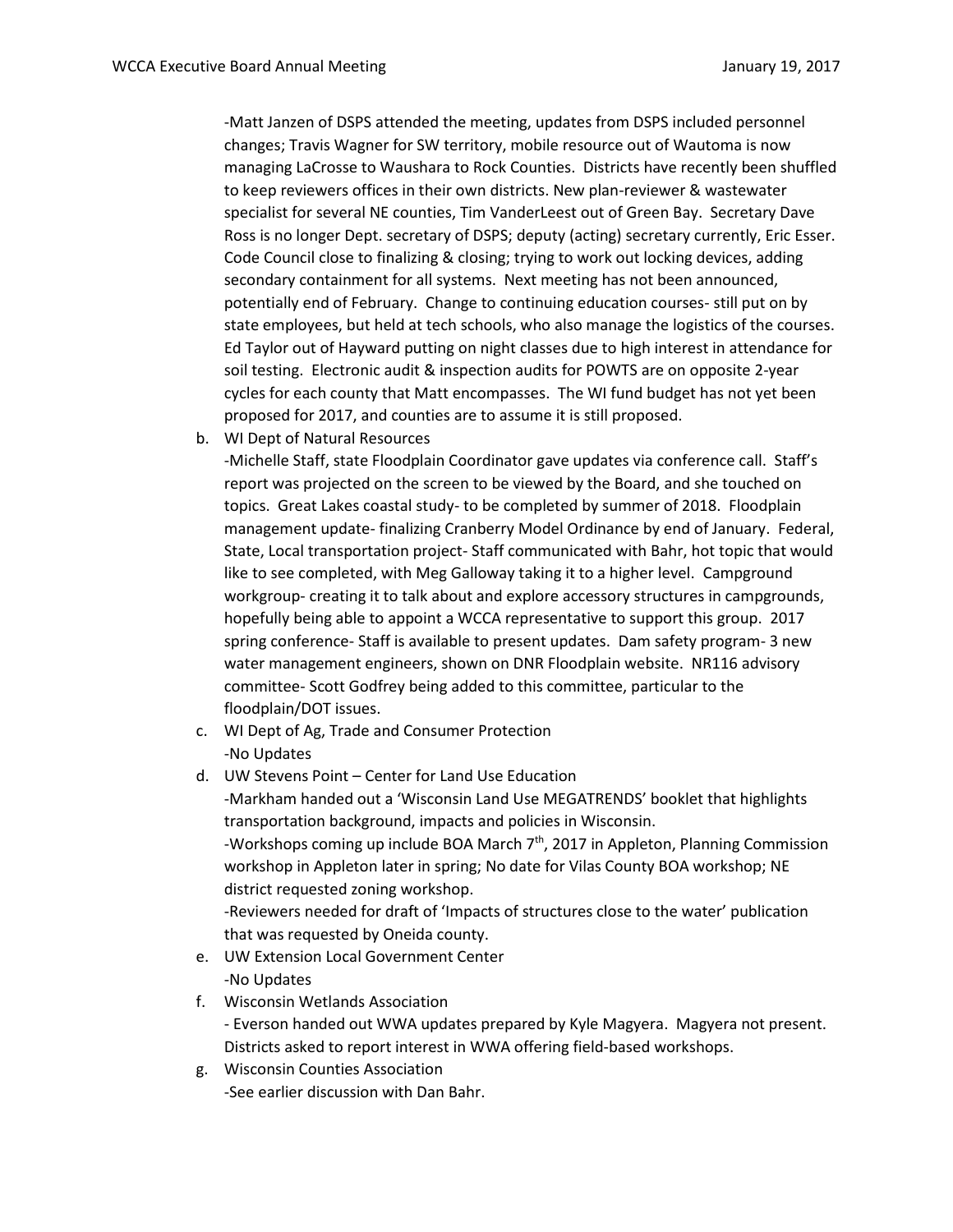-Matt Janzen of DSPS attended the meeting, updates from DSPS included personnel changes; Travis Wagner for SW territory, mobile resource out of Wautoma is now managing LaCrosse to Waushara to Rock Counties. Districts have recently been shuffled to keep reviewers offices in their own districts. New plan-reviewer & wastewater specialist for several NE counties, Tim VanderLeest out of Green Bay. Secretary Dave Ross is no longer Dept. secretary of DSPS; deputy (acting) secretary currently, Eric Esser. Code Council close to finalizing & closing; trying to work out locking devices, adding secondary containment for all systems. Next meeting has not been announced, potentially end of February. Change to continuing education courses- still put on by state employees, but held at tech schools, who also manage the logistics of the courses. Ed Taylor out of Hayward putting on night classes due to high interest in attendance for soil testing. Electronic audit & inspection audits for POWTS are on opposite 2-year cycles for each county that Matt encompasses. The WI fund budget has not yet been proposed for 2017, and counties are to assume it is still proposed.

b. WI Dept of Natural Resources

-Michelle Staff, state Floodplain Coordinator gave updates via conference call. Staff's report was projected on the screen to be viewed by the Board, and she touched on topics. Great Lakes coastal study- to be completed by summer of 2018. Floodplain management update- finalizing Cranberry Model Ordinance by end of January. Federal, State, Local transportation project- Staff communicated with Bahr, hot topic that would like to see completed, with Meg Galloway taking it to a higher level. Campground workgroup- creating it to talk about and explore accessory structures in campgrounds, hopefully being able to appoint a WCCA representative to support this group. 2017 spring conference- Staff is available to present updates. Dam safety program- 3 new water management engineers, shown on DNR Floodplain website. NR116 advisory committee- Scott Godfrey being added to this committee, particular to the floodplain/DOT issues.

- c. WI Dept of Ag, Trade and Consumer Protection -No Updates
- d. UW Stevens Point Center for Land Use Education

-Markham handed out a 'Wisconsin Land Use MEGATRENDS' booklet that highlights transportation background, impacts and policies in Wisconsin. -Workshops coming up include BOA March  $7<sup>th</sup>$ , 2017 in Appleton, Planning Commission workshop in Appleton later in spring; No date for Vilas County BOA workshop; NE district requested zoning workshop. -Reviewers needed for draft of 'Impacts of structures close to the water' publication that was requested by Oneida county.

- e. UW Extension Local Government Center -No Updates
- f. Wisconsin Wetlands Association - Everson handed out WWA updates prepared by Kyle Magyera. Magyera not present. Districts asked to report interest in WWA offering field-based workshops.
- g. Wisconsin Counties Association -See earlier discussion with Dan Bahr.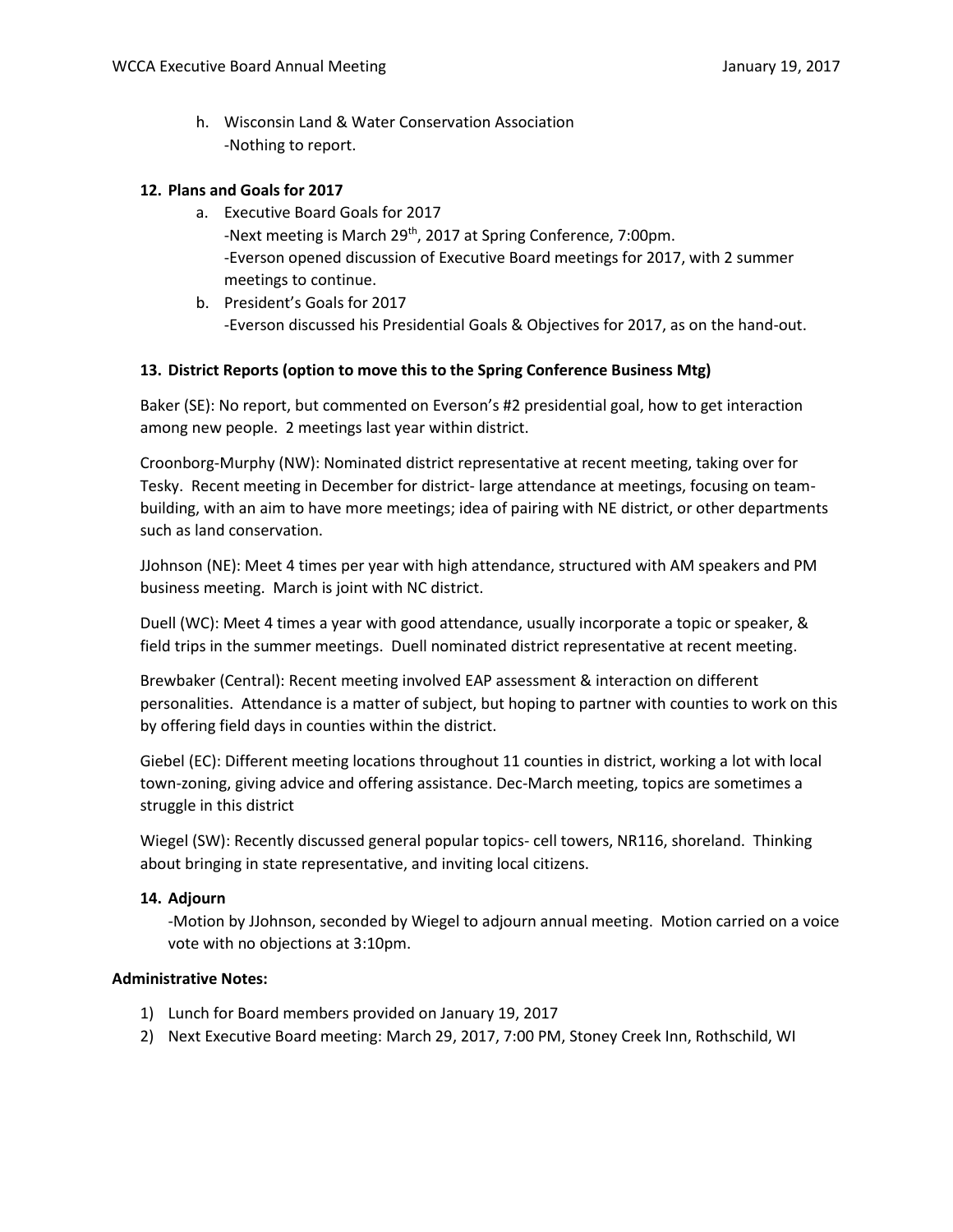h. Wisconsin Land & Water Conservation Association -Nothing to report.

### **12. Plans and Goals for 2017**

- a. Executive Board Goals for 2017 -Next meeting is March 29<sup>th</sup>, 2017 at Spring Conference, 7:00pm. -Everson opened discussion of Executive Board meetings for 2017, with 2 summer meetings to continue.
- b. President's Goals for 2017 -Everson discussed his Presidential Goals & Objectives for 2017, as on the hand-out.

### **13. District Reports (option to move this to the Spring Conference Business Mtg)**

Baker (SE): No report, but commented on Everson's #2 presidential goal, how to get interaction among new people. 2 meetings last year within district.

Croonborg-Murphy (NW): Nominated district representative at recent meeting, taking over for Tesky. Recent meeting in December for district- large attendance at meetings, focusing on teambuilding, with an aim to have more meetings; idea of pairing with NE district, or other departments such as land conservation.

JJohnson (NE): Meet 4 times per year with high attendance, structured with AM speakers and PM business meeting. March is joint with NC district.

Duell (WC): Meet 4 times a year with good attendance, usually incorporate a topic or speaker, & field trips in the summer meetings. Duell nominated district representative at recent meeting.

Brewbaker (Central): Recent meeting involved EAP assessment & interaction on different personalities. Attendance is a matter of subject, but hoping to partner with counties to work on this by offering field days in counties within the district.

Giebel (EC): Different meeting locations throughout 11 counties in district, working a lot with local town-zoning, giving advice and offering assistance. Dec-March meeting, topics are sometimes a struggle in this district

Wiegel (SW): Recently discussed general popular topics- cell towers, NR116, shoreland. Thinking about bringing in state representative, and inviting local citizens.

#### **14. Adjourn**

-Motion by JJohnson, seconded by Wiegel to adjourn annual meeting. Motion carried on a voice vote with no objections at 3:10pm.

#### **Administrative Notes:**

- 1) Lunch for Board members provided on January 19, 2017
- 2) Next Executive Board meeting: March 29, 2017, 7:00 PM, Stoney Creek Inn, Rothschild, WI